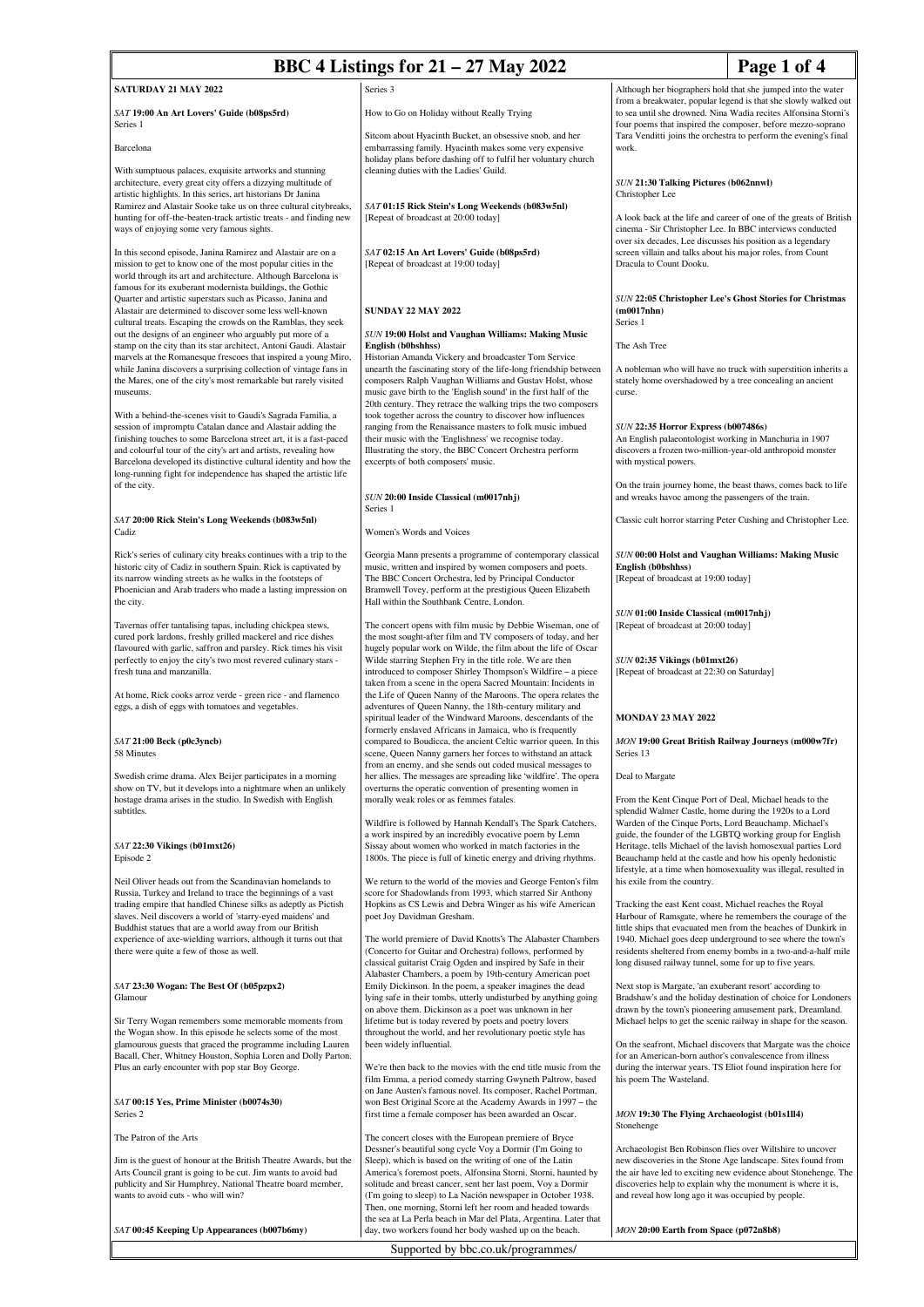| BBC 4 Listings for 21 - 27 May 2022                                                                                                                                                                                                                        |                                                                                                                                                                                                                                                                     | Page 1 of 4                                                                                                                                                                                                                                                                                                                                    |                                                                                                                              |
|------------------------------------------------------------------------------------------------------------------------------------------------------------------------------------------------------------------------------------------------------------|---------------------------------------------------------------------------------------------------------------------------------------------------------------------------------------------------------------------------------------------------------------------|------------------------------------------------------------------------------------------------------------------------------------------------------------------------------------------------------------------------------------------------------------------------------------------------------------------------------------------------|------------------------------------------------------------------------------------------------------------------------------|
| SATURDAY 21 MAY 2022                                                                                                                                                                                                                                       | Series 3                                                                                                                                                                                                                                                            |                                                                                                                                                                                                                                                                                                                                                |                                                                                                                              |
| SAT 19:00 An Art Lovers' Guide (b08ps5rd)                                                                                                                                                                                                                  | How to Go on Holiday without Really Trying                                                                                                                                                                                                                          | Although her biographers hold that she jumped into the water<br>from a breakwater, popular legend is that she slowly walked out<br>to sea until she drowned. Nina Wadia recites Alfonsina Storni's<br>four poems that inspired the composer, before mezzo-soprano<br>Tara Venditti joins the orchestra to perform the evening's final<br>work. |                                                                                                                              |
| Series 1<br>Barcelona                                                                                                                                                                                                                                      | Sitcom about Hyacinth Bucket, an obsessive snob, and her<br>embarrassing family. Hyacinth makes some very expensive                                                                                                                                                 |                                                                                                                                                                                                                                                                                                                                                |                                                                                                                              |
|                                                                                                                                                                                                                                                            | holiday plans before dashing off to fulfil her voluntary church                                                                                                                                                                                                     |                                                                                                                                                                                                                                                                                                                                                |                                                                                                                              |
| With sumptuous palaces, exquisite artworks and stunning<br>architecture, every great city offers a dizzying multitude of<br>artistic highlights. In this series, art historians Dr Janina                                                                  | cleaning duties with the Ladies' Guild.                                                                                                                                                                                                                             | SUN 21:30 Talking Pictures (b062nnwl)<br>Christopher Lee                                                                                                                                                                                                                                                                                       |                                                                                                                              |
| Ramirez and Alastair Sooke take us on three cultural citybreaks,<br>hunting for off-the-beaten-track artistic treats - and finding new<br>ways of enjoying some very famous sights.                                                                        | SAT 01:15 Rick Stein's Long Weekends (b083w5nl)<br>[Repeat of broadcast at 20:00 today]                                                                                                                                                                             | cinema - Sir Christopher Lee. In BBC interviews conducted                                                                                                                                                                                                                                                                                      | A look back at the life and career of one of the greats of British                                                           |
|                                                                                                                                                                                                                                                            |                                                                                                                                                                                                                                                                     | over six decades, Lee discusses his position as a legendary                                                                                                                                                                                                                                                                                    |                                                                                                                              |
| In this second episode, Janina Ramirez and Alastair are on a<br>mission to get to know one of the most popular cities in the<br>world through its art and architecture. Although Barcelona is<br>famous for its exuberant modernista buildings, the Gothic | SAT 02:15 An Art Lovers' Guide (b08ps5rd)<br>[Repeat of broadcast at 19:00 today]                                                                                                                                                                                   | screen villain and talks about his major roles, from Count<br>Dracula to Count Dooku.                                                                                                                                                                                                                                                          |                                                                                                                              |
| Quarter and artistic superstars such as Picasso, Janina and<br>Alastair are determined to discover some less well-known<br>cultural treats. Escaping the crowds on the Ramblas, they seek                                                                  | <b>SUNDAY 22 MAY 2022</b>                                                                                                                                                                                                                                           | (m0017nhn)<br>Series 1                                                                                                                                                                                                                                                                                                                         | SUN 22:05 Christopher Lee's Ghost Stories for Christmas                                                                      |
| out the designs of an engineer who arguably put more of a<br>stamp on the city than its star architect, Antoni Gaudi. Alastair                                                                                                                             | SUN 19:00 Holst and Vaughan Williams: Making Music<br>English (b0bshhss)                                                                                                                                                                                            | The Ash Tree                                                                                                                                                                                                                                                                                                                                   |                                                                                                                              |
| marvels at the Romanesque frescoes that inspired a young Miro,<br>while Janina discovers a surprising collection of vintage fans in                                                                                                                        | Historian Amanda Vickery and broadcaster Tom Service                                                                                                                                                                                                                |                                                                                                                                                                                                                                                                                                                                                |                                                                                                                              |
| the Mares, one of the city's most remarkable but rarely visited<br>museums.                                                                                                                                                                                | unearth the fascinating story of the life-long friendship between<br>composers Ralph Vaughan Williams and Gustav Holst, whose<br>music gave birth to the 'English sound' in the first half of the<br>20th century. They retrace the walking trips the two composers | stately home overshadowed by a tree concealing an ancient<br>curse.                                                                                                                                                                                                                                                                            | A nobleman who will have no truck with superstition inherits a                                                               |
| With a behind-the-scenes visit to Gaudi's Sagrada Familia, a<br>session of impromptu Catalan dance and Alastair adding the<br>finishing touches to some Barcelona street art, it is a fast-paced                                                           | took together across the country to discover how influences<br>ranging from the Renaissance masters to folk music imbued<br>their music with the 'Englishness' we recognise today.                                                                                  | SUN 22:35 Horror Express (b007486s)<br>An English palaeontologist working in Manchuria in 1907                                                                                                                                                                                                                                                 |                                                                                                                              |
| and colourful tour of the city's art and artists, revealing how<br>Barcelona developed its distinctive cultural identity and how the<br>long-running fight for independence has shaped the artistic life                                                   | Illustrating the story, the BBC Concert Orchestra perform<br>excerpts of both composers' music.                                                                                                                                                                     | discovers a frozen two-million-year-old anthropoid monster<br>with mystical powers.                                                                                                                                                                                                                                                            |                                                                                                                              |
| of the city.                                                                                                                                                                                                                                               | SUN 20:00 Inside Classical (m0017nhj)<br>Series 1                                                                                                                                                                                                                   | and wreaks havoc among the passengers of the train.                                                                                                                                                                                                                                                                                            | On the train journey home, the beast thaws, comes back to life                                                               |
| SAT 20:00 Rick Stein's Long Weekends (b083w5nl)<br>Cadiz                                                                                                                                                                                                   | Women's Words and Voices                                                                                                                                                                                                                                            | Classic cult horror starring Peter Cushing and Christopher Lee.                                                                                                                                                                                                                                                                                |                                                                                                                              |
| Rick's series of culinary city breaks continues with a trip to the                                                                                                                                                                                         | Georgia Mann presents a programme of contemporary classical                                                                                                                                                                                                         | SUN 00:00 Holst and Vaughan Williams: Making Music                                                                                                                                                                                                                                                                                             |                                                                                                                              |
| historic city of Cadiz in southern Spain. Rick is captivated by<br>its narrow winding streets as he walks in the footsteps of                                                                                                                              | music, written and inspired by women composers and poets.<br>The BBC Concert Orchestra, led by Principal Conductor                                                                                                                                                  | English (b0bshhss)<br>[Repeat of broadcast at 19:00 today]                                                                                                                                                                                                                                                                                     |                                                                                                                              |
| Phoenician and Arab traders who made a lasting impression on<br>the city.                                                                                                                                                                                  | Bramwell Tovey, perform at the prestigious Queen Elizabeth<br>Hall within the Southbank Centre, London.                                                                                                                                                             |                                                                                                                                                                                                                                                                                                                                                |                                                                                                                              |
| Tavernas offer tantalising tapas, including chickpea stews,                                                                                                                                                                                                | The concert opens with film music by Debbie Wiseman, one of                                                                                                                                                                                                         | SUN 01:00 Inside Classical (m0017nhj)<br>[Repeat of broadcast at 20:00 today]                                                                                                                                                                                                                                                                  |                                                                                                                              |
| cured pork lardons, freshly grilled mackerel and rice dishes                                                                                                                                                                                               | the most sought-after film and TV composers of today, and her                                                                                                                                                                                                       |                                                                                                                                                                                                                                                                                                                                                |                                                                                                                              |
| flavoured with garlic, saffron and parsley. Rick times his visit<br>perfectly to enjoy the city's two most revered culinary stars -                                                                                                                        | hugely popular work on Wilde, the film about the life of Oscar<br>Wilde starring Stephen Fry in the title role. We are then                                                                                                                                         | SUN 02:35 Vikings (b01mxt26)                                                                                                                                                                                                                                                                                                                   |                                                                                                                              |
| fresh tuna and manzanilla.                                                                                                                                                                                                                                 | introduced to composer Shirley Thompson's Wildfire – a piece                                                                                                                                                                                                        | [Repeat of broadcast at 22:30 on Saturday]                                                                                                                                                                                                                                                                                                     |                                                                                                                              |
| At home, Rick cooks arroz verde - green rice - and flamenco                                                                                                                                                                                                | taken from a scene in the opera Sacred Mountain: Incidents in<br>the Life of Queen Nanny of the Maroons. The opera relates the                                                                                                                                      |                                                                                                                                                                                                                                                                                                                                                |                                                                                                                              |
| eggs, a dish of eggs with tomatoes and vegetables.                                                                                                                                                                                                         | adventures of Queen Nanny, the 18th-century military and<br>spiritual leader of the Windward Maroons, descendants of the                                                                                                                                            | <b>MONDAY 23 MAY 2022</b>                                                                                                                                                                                                                                                                                                                      |                                                                                                                              |
| SAT 21:00 Beck (p0c3yncb)                                                                                                                                                                                                                                  | formerly enslaved Africans in Jamaica, who is frequently<br>compared to Boudicca, the ancient Celtic warrior queen. In this                                                                                                                                         | <b>MON 19:00 Great British Railway Journeys (m000w7fr)</b>                                                                                                                                                                                                                                                                                     |                                                                                                                              |
| 58 Minutes                                                                                                                                                                                                                                                 | scene, Queen Nanny garners her forces to withstand an attack                                                                                                                                                                                                        | Series 13                                                                                                                                                                                                                                                                                                                                      |                                                                                                                              |
| Swedish crime drama. Alex Bei jer participates in a morning                                                                                                                                                                                                | from an enemy, and she sends out coded musical messages to<br>her allies. The messages are spreading like 'wildfire'. The opera                                                                                                                                     | Deal to Margate                                                                                                                                                                                                                                                                                                                                |                                                                                                                              |
| show on TV, but it develops into a nightmare when an unlikely                                                                                                                                                                                              | overturns the operatic convention of presenting women in                                                                                                                                                                                                            |                                                                                                                                                                                                                                                                                                                                                |                                                                                                                              |
| hostage drama arises in the studio. In Swedish with English<br>subtitles.                                                                                                                                                                                  | morally weak roles or as femmes fatales.<br>Wildfire is followed by Hannah Kendall's The Spark Catchers,                                                                                                                                                            | From the Kent Cinque Port of Deal, Michael heads to the<br>splendid Walmer Castle, home during the 1920s to a Lord<br>Warden of the Cinque Ports, Lord Beauchamp. Michael's                                                                                                                                                                    |                                                                                                                              |
| $SAT$ 22:30 Vikings (b01mxt26)                                                                                                                                                                                                                             | a work inspired by an incredibly evocative poem by Lemn<br>Sissay about women who worked in match factories in the                                                                                                                                                  | guide, the founder of the LGBTQ working group for English<br>Heritage, tells Michael of the lavish homosexual parties Lord                                                                                                                                                                                                                     |                                                                                                                              |
| Episode 2                                                                                                                                                                                                                                                  | 1800s. The piece is full of kinetic energy and driving rhythms.                                                                                                                                                                                                     | Beauchamp held at the castle and how his openly hedonistic                                                                                                                                                                                                                                                                                     |                                                                                                                              |
| Neil Oliver heads out from the Scandinavian homelands to                                                                                                                                                                                                   | We return to the world of the movies and George Fenton's film                                                                                                                                                                                                       |                                                                                                                                                                                                                                                                                                                                                | lifestyle, at a time when homosexuality was illegal, resulted in                                                             |
| Russia, Turkey and Ireland to trace the beginnings of a vast                                                                                                                                                                                               | score for Shadowlands from 1993, which starred Sir Anthony                                                                                                                                                                                                          | his exile from the country.                                                                                                                                                                                                                                                                                                                    |                                                                                                                              |
| trading empire that handled Chinese silks as adeptly as Pictish                                                                                                                                                                                            | Hopkins as CS Lewis and Debra Winger as his wife American                                                                                                                                                                                                           | Tracking the east Kent coast, Michael reaches the Royal                                                                                                                                                                                                                                                                                        |                                                                                                                              |
| slaves. Neil discovers a world of 'starry-eyed maidens' and<br>Buddhist statues that are a world away from our British                                                                                                                                     | poet Joy Davidman Gresham.                                                                                                                                                                                                                                          |                                                                                                                                                                                                                                                                                                                                                | Harbour of Ramsgate, where he remembers the courage of the<br>little ships that evacuated men from the beaches of Dunkirk in |
| experience of axe-wielding warriors, although it turns out that                                                                                                                                                                                            | The world premiere of David Knotts's The Alabaster Chambers                                                                                                                                                                                                         |                                                                                                                                                                                                                                                                                                                                                | 1940. Michael goes deep underground to see where the town's                                                                  |
| there were quite a few of those as well.                                                                                                                                                                                                                   | (Concerto for Guitar and Orchestra) follows, performed by<br>classical guitarist Craig Ogden and inspired by Safe in their                                                                                                                                          | long disused railway tunnel, some for up to five years.                                                                                                                                                                                                                                                                                        | residents sheltered from enemy bombs in a two-and-a-half mile                                                                |
|                                                                                                                                                                                                                                                            | Alabaster Chambers, a poem by 19th-century American poet                                                                                                                                                                                                            |                                                                                                                                                                                                                                                                                                                                                |                                                                                                                              |
| SAT 23:30 Wogan: The Best Of (b05pzpx2)<br>Glamour                                                                                                                                                                                                         | Emily Dickinson. In the poem, a speaker imagines the dead<br>lying safe in their tombs, utterly undisturbed by anything going                                                                                                                                       | Next stop is Margate, 'an exuberant resort' according to                                                                                                                                                                                                                                                                                       | Bradshaw's and the holiday destination of choice for Londoners                                                               |
|                                                                                                                                                                                                                                                            | on above them. Dickinson as a poet was unknown in her                                                                                                                                                                                                               | drawn by the town's pioneering amusement park, Dreamland.                                                                                                                                                                                                                                                                                      |                                                                                                                              |
| Sir Terry Wogan remembers some memorable moments from<br>the Wogan show. In this episode he selects some of the most                                                                                                                                       | lifetime but is today revered by poets and poetry lovers<br>throughout the world, and her revolutionary poetic style has                                                                                                                                            |                                                                                                                                                                                                                                                                                                                                                | Michael helps to get the scenic railway in shape for the season.                                                             |
| glamourous guests that graced the programme including Lauren<br>Bacall, Cher, Whitney Houston, Sophia Loren and Dolly Parton.                                                                                                                              | been widely influential.                                                                                                                                                                                                                                            | for an American-born author's convalescence from illness                                                                                                                                                                                                                                                                                       | On the seafront, Michael discovers that Margate was the choice                                                               |
| Plus an early encounter with pop star Boy George.                                                                                                                                                                                                          | We're then back to the movies with the end title music from the<br>film Emma, a period comedy starring Gwyneth Paltrow, based                                                                                                                                       | during the interwar years. TS Eliot found inspiration here for<br>his poem The Wasteland.                                                                                                                                                                                                                                                      |                                                                                                                              |
| SAT 00:15 Yes, Prime Minister (b0074s30)                                                                                                                                                                                                                   | on Jane Austen's famous novel. Its composer, Rachel Portman,                                                                                                                                                                                                        |                                                                                                                                                                                                                                                                                                                                                |                                                                                                                              |
| Series <sub>2</sub>                                                                                                                                                                                                                                        | won Best Original Score at the Academy Awards in 1997 – the<br>first time a female composer has been awarded an Oscar.                                                                                                                                              | MON 19:30 The Flying Archaeologist (b01s1ll4)<br>Stonehenge                                                                                                                                                                                                                                                                                    |                                                                                                                              |
| The Patron of the Arts                                                                                                                                                                                                                                     | The concert closes with the European premiere of Bryce                                                                                                                                                                                                              |                                                                                                                                                                                                                                                                                                                                                |                                                                                                                              |
| Jim is the guest of honour at the British Theatre Awards, but the                                                                                                                                                                                          | Dessner's beautiful song cycle Voy a Dormir (I'm Going to<br>Sleep), which is based on the writing of one of the Latin                                                                                                                                              | Archaeologist Ben Robinson flies over Wiltshire to uncover                                                                                                                                                                                                                                                                                     | new discoveries in the Stone Age landscape. Sites found from                                                                 |
| Arts Council grant is going to be cut. Jim wants to avoid bad                                                                                                                                                                                              | America's foremost poets, Alfonsina Storni. Storni, haunted by                                                                                                                                                                                                      | discoveries help to explain why the monument is where it is,                                                                                                                                                                                                                                                                                   | the air have led to exciting new evidence about Stonehenge. The                                                              |
| publicity and Sir Humphrey, National Theatre board member,<br>wants to avoid cuts - who will win?                                                                                                                                                          | solitude and breast cancer, sent her last poem, Voy a Dormir<br>(I'm going to sleep) to La Nación newspaper in October 1938.                                                                                                                                        | and reveal how long ago it was occupied by people.                                                                                                                                                                                                                                                                                             |                                                                                                                              |
|                                                                                                                                                                                                                                                            | Then, one morning, Storni left her room and headed towards                                                                                                                                                                                                          |                                                                                                                                                                                                                                                                                                                                                |                                                                                                                              |
| SAT 00:45 Keeping Up Appearances (b007b6my)                                                                                                                                                                                                                | the sea at La Perla beach in Mar del Plata, Argentina. Later that<br>day, two workers found her body washed up on the beach.                                                                                                                                        | MON 20:00 Earth from Space (p072n8b8)                                                                                                                                                                                                                                                                                                          |                                                                                                                              |

*SAT* **00:45 Keeping Up Appearances (b007b6my)**

Supported by bbc.co.uk/programmes/

*MON* **20:00 Earth from Space (p072n8b8)**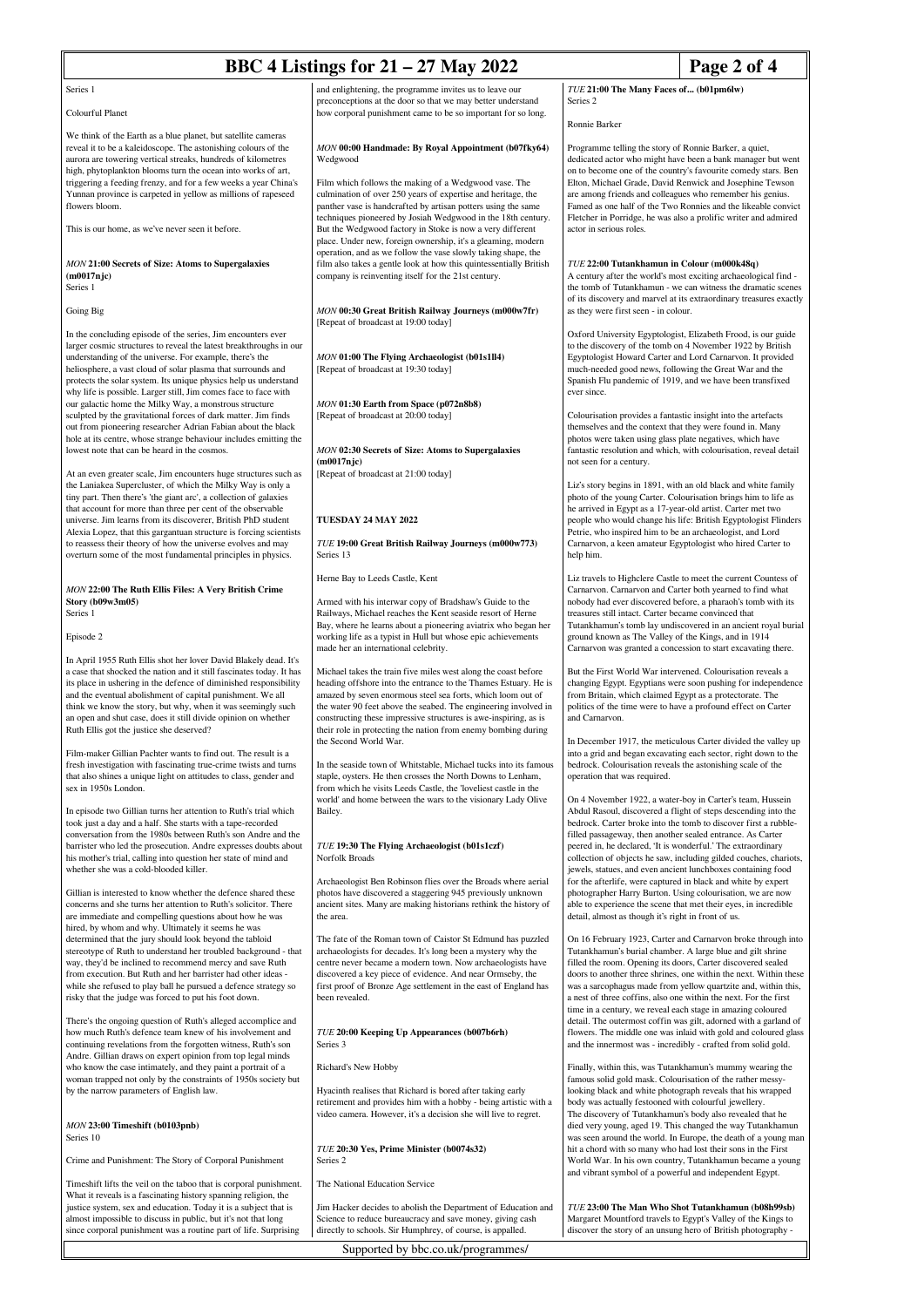|                                                                                                                                                                                                                                                                                                                                                                                                                                                                                                                                            | . <u>.</u>                                                                                                                                                                                                                                                                                                                                                                                                                        |                                                                                                                                                                                                                                                                                                                                                                                                                                                                      |
|--------------------------------------------------------------------------------------------------------------------------------------------------------------------------------------------------------------------------------------------------------------------------------------------------------------------------------------------------------------------------------------------------------------------------------------------------------------------------------------------------------------------------------------------|-----------------------------------------------------------------------------------------------------------------------------------------------------------------------------------------------------------------------------------------------------------------------------------------------------------------------------------------------------------------------------------------------------------------------------------|----------------------------------------------------------------------------------------------------------------------------------------------------------------------------------------------------------------------------------------------------------------------------------------------------------------------------------------------------------------------------------------------------------------------------------------------------------------------|
| Series 1<br>Colourful Planet                                                                                                                                                                                                                                                                                                                                                                                                                                                                                                               | and enlightening, the programme invites us to leave our<br>preconceptions at the door so that we may better understand<br>how corporal punishment came to be so important for so long.                                                                                                                                                                                                                                            | TUE 21:00 The Many Faces of (b01pm6lw)<br>Series <sub>2</sub>                                                                                                                                                                                                                                                                                                                                                                                                        |
|                                                                                                                                                                                                                                                                                                                                                                                                                                                                                                                                            |                                                                                                                                                                                                                                                                                                                                                                                                                                   | Ronnie Barker                                                                                                                                                                                                                                                                                                                                                                                                                                                        |
| We think of the Earth as a blue planet, but satellite cameras<br>reveal it to be a kaleidoscope. The astonishing colours of the<br>aurora are towering vertical streaks, hundreds of kilometres<br>high, phytoplankton blooms turn the ocean into works of art,<br>triggering a feeding frenzy, and for a few weeks a year China's<br>Yunnan province is carpeted in yellow as millions of rapeseed                                                                                                                                        | MON 00:00 Handmade: By Royal Appointment (b07fky64)<br>Wedgwood<br>Film which follows the making of a Wedgwood vase. The<br>culmination of over 250 years of expertise and heritage, the                                                                                                                                                                                                                                          | Programme telling the story of Ronnie Barker, a quiet,<br>dedicated actor who might have been a bank manager but went<br>on to become one of the country's favourite comedy stars. Ben<br>Elton, Michael Grade, David Renwick and Josephine Tewson<br>are among friends and colleagues who remember his genius.                                                                                                                                                      |
| flowers bloom.<br>This is our home, as we've never seen it before.                                                                                                                                                                                                                                                                                                                                                                                                                                                                         | panther vase is handcrafted by artisan potters using the same<br>techniques pioneered by Josiah Wedgwood in the 18th century.<br>But the Wedgwood factory in Stoke is now a very different<br>place. Under new, foreign ownership, it's a gleaming, modern                                                                                                                                                                        | Famed as one half of the Two Ronnies and the likeable convict<br>Fletcher in Porridge, he was also a prolific writer and admired<br>actor in serious roles.                                                                                                                                                                                                                                                                                                          |
| MON 21:00 Secrets of Size: Atoms to Supergalaxies<br>(m0017njc)<br>Series 1                                                                                                                                                                                                                                                                                                                                                                                                                                                                | operation, and as we follow the vase slowly taking shape, the<br>film also takes a gentle look at how this quintessentially British<br>company is reinventing itself for the 21st century.                                                                                                                                                                                                                                        | TUE 22:00 Tutankhamun in Colour (m000k48q)<br>A century after the world's most exciting archaeological find -<br>the tomb of Tutankhamun - we can witness the dramatic scenes<br>of its discovery and marvel at its extraordinary treasures exactly                                                                                                                                                                                                                  |
| Going Big                                                                                                                                                                                                                                                                                                                                                                                                                                                                                                                                  | MON 00:30 Great British Railway Journeys (m000w7fr)<br>[Repeat of broadcast at 19:00 today]                                                                                                                                                                                                                                                                                                                                       | as they were first seen - in colour.                                                                                                                                                                                                                                                                                                                                                                                                                                 |
| In the concluding episode of the series, Jim encounters ever<br>larger cosmic structures to reveal the latest breakthroughs in our<br>understanding of the universe. For example, there's the<br>heliosphere, a vast cloud of solar plasma that surrounds and<br>protects the solar system. Its unique physics help us understand<br>why life is possible. Larger still, Jim comes face to face with<br>our galactic home the Milky Way, a monstrous structure                                                                             | MON 01:00 The Flying Archaeologist (b01s1ll4)<br>[Repeat of broadcast at 19:30 today]<br>MON 01:30 Earth from Space (p072n8b8)                                                                                                                                                                                                                                                                                                    | Oxford University Egyptologist, Elizabeth Frood, is our guide<br>to the discovery of the tomb on 4 November 1922 by British<br>Egyptologist Howard Carter and Lord Carnarvon. It provided<br>much-needed good news, following the Great War and the<br>Spanish Flu pandemic of 1919, and we have been transfixed<br>ever since.                                                                                                                                      |
| sculpted by the gravitational forces of dark matter. Jim finds<br>out from pioneering researcher Adrian Fabian about the black<br>hole at its centre, whose strange behaviour includes emitting the                                                                                                                                                                                                                                                                                                                                        | [Repeat of broadcast at 20:00 today]                                                                                                                                                                                                                                                                                                                                                                                              | Colourisation provides a fantastic insight into the artefacts<br>themselves and the context that they were found in. Many<br>photos were taken using glass plate negatives, which have                                                                                                                                                                                                                                                                               |
| lowest note that can be heard in the cosmos.                                                                                                                                                                                                                                                                                                                                                                                                                                                                                               | MON 02:30 Secrets of Size: Atoms to Supergalaxies<br>(m0017nic)                                                                                                                                                                                                                                                                                                                                                                   | fantastic resolution and which, with colourisation, reveal detail<br>not seen for a century.                                                                                                                                                                                                                                                                                                                                                                         |
| At an even greater scale, Jim encounters huge structures such as<br>the Laniakea Supercluster, of which the Milky Way is only a<br>tiny part. Then there's 'the giant arc', a collection of galaxies<br>that account for more than three per cent of the observable<br>universe. Jim learns from its discoverer, British PhD student<br>Alexia Lopez, that this gargantuan structure is forcing scientists<br>to reassess their theory of how the universe evolves and may<br>overturn some of the most fundamental principles in physics. | [Repeat of broadcast at 21:00 today]<br><b>TUESDAY 24 MAY 2022</b><br>TUE 19:00 Great British Railway Journeys (m000w773)<br>Series 13                                                                                                                                                                                                                                                                                            | Liz's story begins in 1891, with an old black and white family<br>photo of the young Carter. Colourisation brings him to life as<br>he arrived in Egypt as a 17-year-old artist. Carter met two<br>people who would change his life: British Egyptologist Flinders<br>Petrie, who inspired him to be an archaeologist, and Lord<br>Carnarvon, a keen amateur Egyptologist who hired Carter to<br>help him.                                                           |
| MON 22:00 The Ruth Ellis Files: A Very British Crime<br>Story (b09w3m05)<br>Series 1                                                                                                                                                                                                                                                                                                                                                                                                                                                       | Herne Bay to Leeds Castle, Kent<br>Armed with his interwar copy of Bradshaw's Guide to the<br>Railways, Michael reaches the Kent seaside resort of Herne<br>Bay, where he learns about a pioneering aviatrix who began her                                                                                                                                                                                                        | Liz travels to Highclere Castle to meet the current Countess of<br>Carnarvon. Carnarvon and Carter both yearned to find what<br>nobody had ever discovered before, a pharaoh's tomb with its<br>treasures still intact. Carter became convinced that<br>Tutankhamun's tomb lay undiscovered in an ancient royal burial                                                                                                                                               |
| Episode 2                                                                                                                                                                                                                                                                                                                                                                                                                                                                                                                                  | working life as a typist in Hull but whose epic achievements<br>made her an international celebrity.                                                                                                                                                                                                                                                                                                                              | ground known as The Valley of the Kings, and in 1914<br>Carnarvon was granted a concession to start excavating there.                                                                                                                                                                                                                                                                                                                                                |
| In April 1955 Ruth Ellis shot her lover David Blakely dead. It's<br>a case that shocked the nation and it still fascinates today. It has<br>its place in ushering in the defence of diminished responsibility<br>and the eventual abolishment of capital punishment. We all<br>think we know the story, but why, when it was seemingly such<br>an open and shut case, does it still divide opinion on whether<br>Ruth Ellis got the justice she deserved?                                                                                  | Michael takes the train five miles west along the coast before<br>heading offshore into the entrance to the Thames Estuary. He is<br>amazed by seven enormous steel sea forts, which loom out of<br>the water 90 feet above the seabed. The engineering involved in<br>constructing these impressive structures is awe inspiring, as is<br>their role in protecting the nation from enemy bombing during<br>the Second World War. | But the First World War intervened. Colourisation reveals a<br>changing Egypt. Egyptians were soon pushing for independence<br>from Britain, which claimed Egypt as a protectorate. The<br>politics of the time were to have a profound effect on Carter<br>and Carnarvon.<br>In December 1917, the meticulous Carter divided the valley up                                                                                                                          |
| Film-maker Gillian Pachter wants to find out. The result is a<br>fresh investigation with fascinating true-crime twists and turns<br>that also shines a unique light on attitudes to class, gender and<br>sex in 1950s London.                                                                                                                                                                                                                                                                                                             | In the seaside town of Whitstable, Michael tucks into its famous<br>staple, oysters. He then crosses the North Downs to Lenham,<br>from which he visits Leeds Castle, the 'loveliest castle in the                                                                                                                                                                                                                                | into a grid and began excavating each sector, right down to the<br>bedrock. Colourisation reveals the astonishing scale of the<br>operation that was required.                                                                                                                                                                                                                                                                                                       |
| In episode two Gillian turns her attention to Ruth's trial which<br>took just a day and a half. She starts with a tape-recorded<br>conversation from the 1980s between Ruth's son Andre and the<br>barrister who led the prosecution. Andre expresses doubts about<br>his mother's trial, calling into question her state of mind and<br>whether she was a cold-blooded killer.                                                                                                                                                            | world' and home between the wars to the visionary Lady Olive<br>Bailey.<br>TUE 19:30 The Flying Archaeologist (b01s1czf)<br>Norfolk Broads                                                                                                                                                                                                                                                                                        | On 4 November 1922, a water-boy in Carter's team, Hussein<br>Abdul Rasoul, discovered a flight of steps descending into the<br>bedrock. Carter broke into the tomb to discover first a rubble-<br>filled passageway, then another sealed entrance. As Carter<br>peered in, he declared, 'It is wonderful.' The extraordinary<br>collection of objects he saw, including gilded couches, chariots,<br>jewels, statues, and even ancient lunchboxes containing food    |
| Gillian is interested to know whether the defence shared these<br>concerns and she turns her attention to Ruth's solicitor. There<br>are immediate and compelling questions about how he was<br>hired, by whom and why. Ultimately it seems he was                                                                                                                                                                                                                                                                                         | Archaeologist Ben Robinson flies over the Broads where aerial<br>photos have discovered a staggering 945 previously unknown<br>ancient sites. Many are making historians rethink the history of<br>the area.                                                                                                                                                                                                                      | for the afterlife, were captured in black and white by expert<br>photographer Harry Burton. Using colourisation, we are now<br>able to experience the scene that met their eyes, in incredible<br>detail, almost as though it's right in front of us.                                                                                                                                                                                                                |
| determined that the jury should look beyond the tabloid<br>stereotype of Ruth to understand her troubled background - that<br>way, they'd be inclined to recommend mercy and save Ruth<br>from execution. But Ruth and her barrister had other ideas -<br>while she refused to play ball he pursued a defence strategy so<br>risky that the judge was forced to put his foot down.                                                                                                                                                         | The fate of the Roman town of Caistor St Edmund has puzzled<br>archaeologists for decades. It's long been a mystery why the<br>centre never became a modern town. Now archaeologists have<br>discovered a key piece of evidence. And near Ormseby, the<br>first proof of Bronze Age settlement in the east of England has<br>been revealed.                                                                                       | On 16 February 1923, Carter and Carnarvon broke through into<br>Tutankhamun's burial chamber. A large blue and gilt shrine<br>filled the room. Opening its doors, Carter discovered sealed<br>doors to another three shrines, one within the next. Within these<br>was a sarcophagus made from yellow quartzite and, within this,<br>a nest of three coffins, also one within the next. For the first<br>time in a century, we reveal each stage in amazing coloured |
| There's the ongoing question of Ruth's alleged accomplice and<br>how much Ruth's defence team knew of his involvement and<br>continuing revelations from the forgotten witness, Ruth's son<br>Andre. Gillian draws on expert opinion from top legal minds                                                                                                                                                                                                                                                                                  | TUE 20:00 Keeping Up Appearances (b007b6rh)<br>Series 3                                                                                                                                                                                                                                                                                                                                                                           | detail. The outermost coffin was gilt, adorned with a garland of<br>flowers. The middle one was inlaid with gold and coloured glass<br>and the innermost was - incredibly - crafted from solid gold.                                                                                                                                                                                                                                                                 |
| who know the case intimately, and they paint a portrait of a<br>woman trapped not only by the constraints of 1950s society but<br>by the narrow parameters of English law.                                                                                                                                                                                                                                                                                                                                                                 | Richard's New Hobby<br>Hyacinth realises that Richard is bored after taking early<br>retirement and provides him with a hobby - being artistic with a                                                                                                                                                                                                                                                                             | Finally, within this, was Tutankhamun's mummy wearing the<br>famous solid gold mask. Colourisation of the rather messy-<br>looking black and white photograph reveals that his wrapped<br>body was actually festooned with colourful jewellery.                                                                                                                                                                                                                      |
| MON 23:00 Timeshift (b0103pnb)<br>Series 10                                                                                                                                                                                                                                                                                                                                                                                                                                                                                                | video camera. However, it's a decision she will live to regret.                                                                                                                                                                                                                                                                                                                                                                   | The discovery of Tutankhamun's body also revealed that he<br>died very young, aged 19. This changed the way Tutankhamun<br>was seen around the world. In Europe, the death of a young man                                                                                                                                                                                                                                                                            |
| Crime and Punishment: The Story of Corporal Punishment                                                                                                                                                                                                                                                                                                                                                                                                                                                                                     | TUE 20:30 Yes, Prime Minister (b0074s32)<br>Series <sub>2</sub>                                                                                                                                                                                                                                                                                                                                                                   | hit a chord with so many who had lost their sons in the First<br>World War. In his own country, Tutankhamun became a young<br>and vibrant symbol of a powerful and independent Egypt.                                                                                                                                                                                                                                                                                |
| Timeshift lifts the yeil on the taboo that is corporal punishment.                                                                                                                                                                                                                                                                                                                                                                                                                                                                         | The National Education Service                                                                                                                                                                                                                                                                                                                                                                                                    |                                                                                                                                                                                                                                                                                                                                                                                                                                                                      |

**BBC 4 Listings for 21 – 27 May 2022** Page 2 of 4

Timeshift lifts the veil on the taboo that is corporal punishment. What it reveals is a fascinating history spanning religion, the justice system, sex and education. Today it is a subject that is almost impossible to discuss in public, but it's not that long since corporal punishment was a routine part of life. Surprising

directly to schools. Sir Humphrey, of course, is appalled.

Jim Hacker decides to abolish the Department of Education and Science to reduce bureaucracy and save money, giving cash

Supported by bbc.co.uk/programmes/

*TUE* **23:00 The Man Who Shot Tutankhamun (b08h99sb)** Margaret Mountford travels to Egypt's Valley of the Kings to discover the story of an unsung hero of British photography -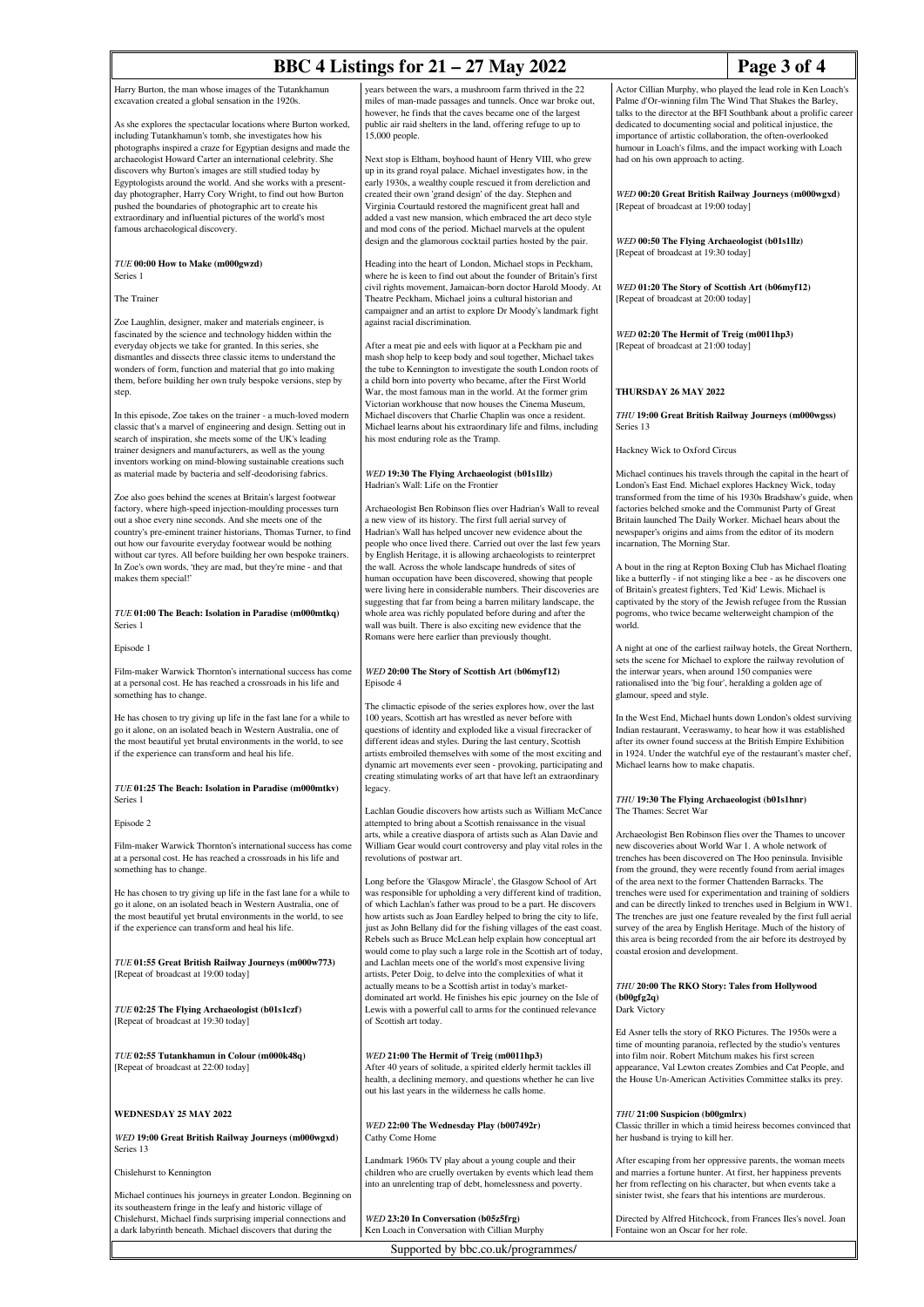# **BBC 4 Listings for 21 – 27 May 2022 Page 3 of 4**

Harry Burton, the man whose images of the Tutankhamun excavation created a global sensation in the 1920s.

As she explores the spectacular locations where Burton worked, including Tutankhamun's tomb, she investigates how his photographs inspired a craze for Egyptian designs and made the archaeologist Howard Carter an international celebrity. She discovers why Burton's images are still studied today by Egyptologists around the world. And she works with a presentday photographer, Harry Cory Wright, to find out how Burton pushed the boundaries of photographic art to create his extraordinary and influential pictures of the world's most famous archaeological discovery.

*TUE* **00:00 How to Make (m000gwzd)** Series 1

The Trainer

Zoe Laughlin, designer, maker and materials engineer, is fascinated by the science and technology hidden within the everyday objects we take for granted. In this series, she dismantles and dissects three classic items to understand the wonders of form, function and material that go into making them, before building her own truly bespoke versions, step by step

In this episode, Zoe takes on the trainer - a much-loved modern classic that's a marvel of engineering and design. Setting out in search of inspiration, she meets some of the UK's leading trainer designers and manufacturers, as well as the young inventors working on mind-blowing sustainable creations such as material made by bacteria and self-deodorising fabrics.

Zoe also goes behind the scenes at Britain's largest footwear factory, where high-speed injection-moulding processes turn out a shoe every nine seconds. And she meets one of the country's pre-eminent trainer historians, Thomas Turner, to find out how our favourite everyday footwear would be nothing without car tyres. All before building her own bespoke trainers. In Zoe's own words, 'they are mad, but they're mine - and that makes them special!'

### *TUE* **01:00 The Beach: Isolation in Paradise (m000mtkq)** Series 1

Episode 1

Film-maker Warwick Thornton's international success has come at a personal cost. He has reached a crossroads in his life and something has to change.

He has chosen to try giving up life in the fast lane for a while to go it alone, on an isolated beach in Western Australia, one of the most beautiful yet brutal environments in the world, to see if the experience can transform and heal his life.

*TUE* **01:25 The Beach: Isolation in Paradise (m000mtkv)** Series 1

Episode 2

Film-maker Warwick Thornton's international success has come at a personal cost. He has reached a crossroads in his life and something has to change.

He has chosen to try giving up life in the fast lane for a while to go it alone, on an isolated beach in Western Australia, one of the most beautiful yet brutal environments in the world, to see if the experience can transform and heal his life.

*TUE* **01:55 Great British Railway Journeys (m000w773)** [Repeat of broadcast at 19:00 today]

*TUE* **02:25 The Flying Archaeologist (b01s1czf)** [Repeat of broadcast at 19:30 today]

*TUE* **02:55 Tutankhamun in Colour (m000k48q)** [Repeat of broadcast at 22:00 today]

**WEDNESDAY 25 MAY 2022**

*WED* **19:00 Great British Railway Journeys (m000wgxd)** Series 13

Chislehurst to Kennington

Michael continues his journeys in greater London. Beginning on its southeastern fringe in the leafy and historic village of Chislehurst, Michael finds surprising imperial connections and a dark labyrinth beneath. Michael discovers that during the

years between the wars, a mushroom farm thrived in the 22 miles of man-made passages and tunnels. Once war broke out however, he finds that the caves became one of the largest public air raid shelters in the land, offering refuge to up to 15,000 people.

Next stop is Eltham, boyhood haunt of Henry VIII, who grew up in its grand royal palace. Michael investigates how, in the early 1930s, a wealthy couple rescued it from dereliction and created their own 'grand design' of the day. Stephen and Virginia Courtauld restored the magnificent great hall and added a vast new mansion, which embraced the art deco style and mod cons of the period. Michael marvels at the opulent design and the glamorous cocktail parties hosted by the pair.

Heading into the heart of London, Michael stops in Peckham, where he is keen to find out about the founder of Britain's first civil rights movement, Jamaican-born doctor Harold Moody. At Theatre Peckham, Michael joins a cultural historian and campaigner and an artist to explore Dr Moody's landmark fight against racial discrimination.

After a meat pie and eels with liquor at a Peckham pie and mash shop help to keep body and soul together, Michael takes the tube to Kennington to investigate the south London roots of a child born into poverty who became, after the First World War, the most famous man in the world. At the former grim Victorian workhouse that now houses the Cinema Museum, Michael discovers that Charlie Chaplin was once a resident. Michael learns about his extraordinary life and films, including his most enduring role as the Tramp.

*WED* **19:30 The Flying Archaeologist (b01s1llz)** Hadrian's Wall: Life on the Frontier

Archaeologist Ben Robinson flies over Hadrian's Wall to reveal a new view of its history. The first full aerial survey of Hadrian's Wall has helped uncover new evidence about the people who once lived there. Carried out over the last few years by English Heritage, it is allowing archaeologists to reinterpret the wall. Across the whole landscape hundreds of sites of human occupation have been discovered, showing that people were living here in considerable numbers. Their discoveries are suggesting that far from being a barren military landscape, the whole area was richly populated before during and after the wall was built. There is also exciting new evidence that the Romans were here earlier than previously thought.

### *WED* **20:00 The Story of Scottish Art (b06myf12)** Episode 4

The climactic episode of the series explores how, over the last 100 years, Scottish art has wrestled as never before with questions of identity and exploded like a visual firecracker of different ideas and styles. During the last century, Scottish artists embroiled themselves with some of the most exciting and dynamic art movements ever seen - provoking, participating and creating stimulating works of art that have left an extraordinary legacy.

Lachlan Goudie discovers how artists such as William McCance attempted to bring about a Scottish renaissance in the visual arts, while a creative diaspora of artists such as Alan Davie and William Gear would court controversy and play vital roles in the revolutions of postwar art.

Long before the 'Glasgow Miracle', the Glasgow School of Art was responsible for upholding a very different kind of tradition, of which Lachlan's father was proud to be a part. He discovers how artists such as Joan Eardley helped to bring the city to life, just as John Bellany did for the fishing villages of the east coast. Rebels such as Bruce McLean help explain how conceptual art would come to play such a large role in the Scottish art of today, and Lachlan meets one of the world's most expensive living artists, Peter Doig, to delve into the complexities of what it actually means to be a Scottish artist in today's marketdominated art world. He finishes his epic journey on the Isle of Lewis with a powerful call to arms for the continued relevance of Scottish art today.

*WED* **21:00 The Hermit of Treig (m0011hp3)** After 40 years of solitude, a spirited elderly hermit tackles ill health, a declining memory, and questions whether he can live out his last years in the wilderness he calls home.

*WED* **22:00 The Wednesday Play (b007492r)** Cathy Come Home

Landmark 1960s TV play about a young couple and their children who are cruelly overtaken by events which lead them into an unrelenting trap of debt, homelessness and poverty.

*WED* **23:20 In Conversation (b05z5frg)** Ken Loach in Conversation with Cillian Murphy

Supported by bbc.co.uk/programmes/

Actor Cillian Murphy, who played the lead role in Ken Loach's Palme d'Or-winning film The Wind That Shakes the Barley, talks to the director at the BFI Southbank about a prolific ca dedicated to documenting social and political injustice, the importance of artistic collaboration, the often-overlooked hour in Loach's films, and the impact working with Loach had on his own approach to acting.

*WED* **00:20 Great British Railway Journeys (m000wgxd)** [Repeat of broadcast at 19:00 today]

*WED* **00:50 The Flying Archaeologist (b01s1llz)** [Repeat of broadcast at 19:30 today]

*WED* **01:20 The Story of Scottish Art (b06myf12)** [Repeat of broadcast at 20:00 today]

*WED* **02:20 The Hermit of Treig (m0011hp3)** [Repeat of broadcast at 21:00 today]

## **THURSDAY 26 MAY 2022**

*THU* **19:00 Great British Railway Journeys (m000wgss)** Series 13

Hackney Wick to Oxford Circus

Michael continues his travels through the capital in the heart of London's East End. Michael explores Hackney Wick, today transformed from the time of his 1930s Bradshaw's guide, when factories belched smoke and the Communist Party of Great Britain launched The Daily Worker. Michael hears about the newspaper's origins and aims from the editor of its modern incarnation, The Morning Star.

A bout in the ring at Repton Boxing Club has Michael floating like a butterfly - if not stinging like a bee - as he discovers one of Britain's greatest fighters, Ted 'Kid' Lewis. Michael is captivated by the story of the Jewish refugee from the Russian pogroms, who twice became welterweight champion of the world.

A night at one of the earliest railway hotels, the Great Northern, sets the scene for Michael to explore the railway revolution of the interwar years, when around 150 companies were rationalised into the 'big four', heralding a golden age of glamour, speed and style.

In the West End, Michael hunts down London's oldest surviving Indian restaurant, Veeraswamy, to hear how it was established after its owner found success at the British Empire Exhibition in 1924. Under the watchful eye of the restaurant's master chef, Michael learns how to make chapatis.

### *THU* **19:30 The Flying Archaeologist (b01s1hnr)** The Thames: Secret War

Archaeologist Ben Robinson flies over the Thames to uncover new discoveries about World War 1. A whole network of trenches has been discovered on The Hoo peninsula. Invisible from the ground, they were recently found from aerial images of the area next to the former Chattenden Barracks. The trenches were used for experimentation and training of soldiers and can be directly linked to trenches used in Belgium in WW1. The trenches are just one feature revealed by the first full aerial survey of the area by English Heritage. Much of the history of this area is being recorded from the air before its destroyed by coastal erosion and development.

#### *THU* **20:00 The RKO Story: Tales from Hollywood (b00gfg2q)** Dark Victory

Ed Asner tells the story of RKO Pictures. The 1950s were a time of mounting paranoia, reflected by the studio's ventures into film noir. Robert Mitchum makes his first screen appearance, Val Lewton creates Zombies and Cat People, and the House Un-American Activities Committee stalks its prey.

*THU* **21:00 Suspicion (b00gmlrx)**

Classic thriller in which a timid heiress becomes convinced that her husband is trying to kill her.

After escaping from her oppressive parents, the woman meets and marries a fortune hunter. At first, her happiness prevents her from reflecting on his character, but when events take a sinister twist, she fears that his intentions are murderous.

Directed by Alfred Hitchcock, from Frances Iles's novel. Joan Fontaine won an Oscar for her role.